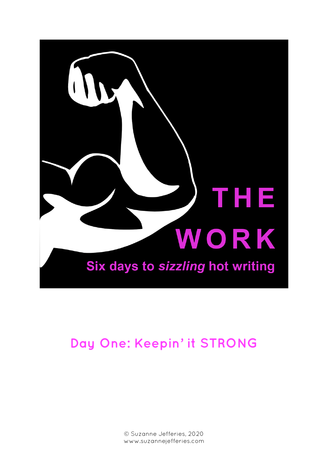

# **Day One: Keepin' it STRONG**

© Suzanne Jefferies, 2020 www.suzannejefferies.com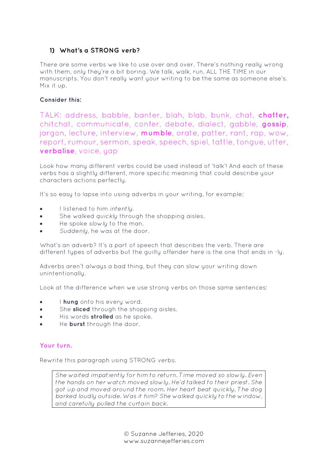# **1) What's a STRONG verb?**

There are some verbs we like to use over and over. There's nothing really wrong with them, only they're a bit boring. We talk, walk, run, ALL THE TIME in our manuscripts. You don't really want your writing to be the same as someone else's. Mix it up.

## **Consider this:**

TALK: address, babble, banter, blah, blab, bunk, chat, **chatter,** chitchat, communicate, confer, debate, dialect, gabble, **gossip**, jargon, lecture, interview, **mumble**, orate, patter, rant, rap, wow, report, rumour, sermon, speak, speech, spiel, tattle, tongue, utter, **verbalise**, voice, yap

Look how many different verbs could be used instead of 'talk'! And each of these verbs has a slightly different, more specific meaning that could describe your characters actions perfectly.

It's so easy to lapse into using adverbs in your writing, for example:

- I listened to him *intently*.
- She walked *quickly* through the shopping aisles.
- He spoke *slowly* to the man.
- *Suddenly*, he was at the door.

What's an adverb? It's a part of speech that describes the verb. There are different types of adverbs but the guilty offender here is the one that ends in -ly.

Adverbs aren't always a bad thing, but they can slow your writing down unintentionally.

Look at the difference when we use strong verbs on those same sentences:

- I **hung** onto his every word.
- She **sliced** through the shopping aisles.
- His words **strolled** as he spoke.
- He **burst** through the door.

#### **Your turn.**

Rewrite this paragraph using STRONG verbs.

*She waited impatiently for him to return. Time moved so slowly. Even the hands on her watch moved slowly. He'd talked to their priest. She got up and moved around the room. Her heart beat quickly. The dog barked loudly outside. Was it him? She walked quickly to the window, and carefully pulled the curtain back.*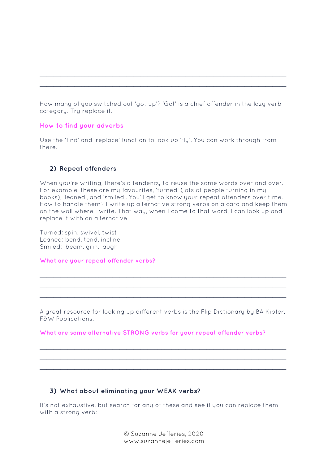How many of you switched out 'got up'? 'Got' is a chief offender in the lazy verb category. Try replace it.

#### **How to find your adverbs**

Use the 'find' and 'replace' function to look up '-ly'. You can work through from there.

#### **2) Repeat offenders**

When you're writing, there's a tendency to reuse the same words over and over. For example, these are my favourites, 'turned' (lots of people turning in my books), 'leaned', and 'smiled'. You'll get to know your repeat offenders over time. How to handle them? I write up alternative strong verbs on a card and keep them on the wall where I write. That way, when I come to that word, I can look up and replace it with an alternative.

Turned: spin, swivel, twist Leaned: bend, tend, incline Smiled: beam, grin, laugh

#### **What are your repeat offender verbs?**

A great resource for looking up different verbs is the Flip Dictionary by BA Kipfer, F&W Publications.

 $\mathcal{L}_\mathcal{L}$  , and the set of the set of the set of the set of the set of the set of the set of the set of the set of the set of the set of the set of the set of the set of the set of the set of the set of the set of th \_\_\_\_\_\_\_\_\_\_\_\_\_\_\_\_\_\_\_\_\_\_\_\_\_\_\_\_\_\_\_\_\_\_\_\_\_\_\_\_\_\_\_\_\_\_\_\_\_\_\_\_\_\_\_\_\_\_\_\_\_\_\_\_\_\_\_\_\_\_\_  $\overline{a_1}$  ,  $\overline{a_2}$  ,  $\overline{a_3}$  ,  $\overline{a_4}$  ,  $\overline{a_5}$  ,  $\overline{a_6}$  ,  $\overline{a_7}$  ,  $\overline{a_8}$  ,  $\overline{a_9}$  ,  $\overline{a_9}$  ,  $\overline{a_9}$  ,  $\overline{a_9}$  ,  $\overline{a_9}$  ,  $\overline{a_9}$  ,  $\overline{a_9}$  ,  $\overline{a_9}$  ,  $\overline{a_9}$  ,

 $\mathcal{L}_\mathcal{L}$  , and the set of the set of the set of the set of the set of the set of the set of the set of the set of the set of the set of the set of the set of the set of the set of the set of the set of the set of th \_\_\_\_\_\_\_\_\_\_\_\_\_\_\_\_\_\_\_\_\_\_\_\_\_\_\_\_\_\_\_\_\_\_\_\_\_\_\_\_\_\_\_\_\_\_\_\_\_\_\_\_\_\_\_\_\_\_\_\_\_\_\_\_\_\_\_\_\_\_\_  $\mathcal{L}_\mathcal{L}$  , and the contribution of the contribution of the contribution of the contribution of the contribution of the contribution of the contribution of the contribution of the contribution of the contribution of

#### **What are some alternative STRONG verbs for your repeat offender verbs?**

#### **3) What about eliminating your WEAK verbs?**

It's not exhaustive, but search for any of these and see if you can replace them with a strong verb:

> © Suzanne Jefferies, 2020 www.suzannejefferies.com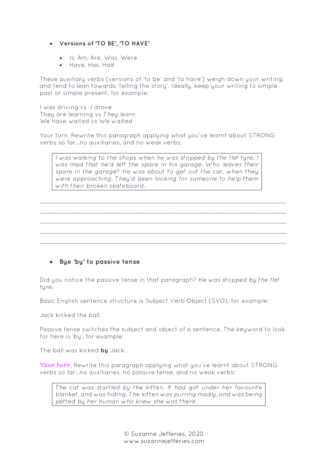#### • **Versions of 'TO BE', 'TO HAVE'**

- Is, Am, Are, Was, Were
- Have, Has, Had

These auxiliary verbs (versions of 'to be' and 'to have') weigh down your writing, and tend to lean towards 'telling the story'. Ideally, keep your writing to simple past or simple present, for example:

I was driving vs *I drove* They are learning vs *They learn* We have waited vs *We waited*

Your turn. Rewrite this paragraph applying what you've learnt about STRONG verbs so far…no auxiliaries, and no weak verbs:

*I was walking to the shops when he was stopped by the flat tyre. I was mad that he'd left the spare in his garage. Who leaves their spare in the garage? He was about to get out the car, when they were approaching. They'd been looking for someone to help them with their broken skateboard.*

*\_\_\_\_\_\_\_\_\_\_\_\_\_\_\_\_\_\_\_\_\_\_\_\_\_\_\_\_\_\_\_\_\_\_\_\_\_\_\_\_\_\_\_\_\_\_\_\_\_\_\_\_\_\_\_\_\_\_\_\_\_\_\_\_\_\_\_\_\_\_\_ \_\_\_\_\_\_\_\_\_\_\_\_\_\_\_\_\_\_\_\_\_\_\_\_\_\_\_\_\_\_\_\_\_\_\_\_\_\_\_\_\_\_\_\_\_\_\_\_\_\_\_\_\_\_\_\_\_\_\_\_\_\_\_\_\_\_\_\_\_\_\_ \_\_\_\_\_\_\_\_\_\_\_\_\_\_\_\_\_\_\_\_\_\_\_\_\_\_\_\_\_\_\_\_\_\_\_\_\_\_\_\_\_\_\_\_\_\_\_\_\_\_\_\_\_\_\_\_\_\_\_\_\_\_\_\_\_\_\_\_\_\_\_ \_\_\_\_\_\_\_\_\_\_\_\_\_\_\_\_\_\_\_\_\_\_\_\_\_\_\_\_\_\_\_\_\_\_\_\_\_\_\_\_\_\_\_\_\_\_\_\_\_\_\_\_\_\_\_\_\_\_\_\_\_\_\_\_\_\_\_\_\_\_\_ \_\_\_\_\_\_\_\_\_\_\_\_\_\_\_\_\_\_\_\_\_\_\_\_\_\_\_\_\_\_\_\_\_\_\_\_\_\_\_\_\_\_\_\_\_\_\_\_\_\_\_\_\_\_\_\_\_\_\_\_\_\_\_\_\_\_\_\_\_\_\_*

#### • **Bye 'by' to passive tense**

Did you notice the passive tense in that paragraph? *He was stopped by the flat tyre.* 

Basic English sentence structure is Subject Verb Object (SVO), for example:

Jack kicked the ball.

Passive tense switches the subject and object of a sentence, The keyword to look for here is 'by', for example:

The ball was kicked **by** Jack.

**Your turn**. Rewrite this paragraph applying what you've learnt about STRONG verbs so far…no auxiliaries, no passive tense, and no weak verbs:

*The cat was startled by the kitten. It had got under her favourite blanket, and was hiding. The kitten was purring madly, and was being petted by her human who knew she was there.*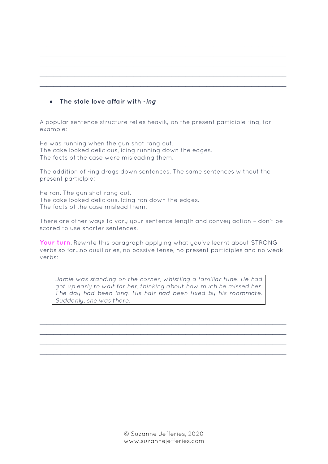## • **The stale love affair with** *-ing*

A popular sentence structure relies heavily on the present participle -ing, for example:

*\_\_\_\_\_\_\_\_\_\_\_\_\_\_\_\_\_\_\_\_\_\_\_\_\_\_\_\_\_\_\_\_\_\_\_\_\_\_\_\_\_\_\_\_\_\_\_\_\_\_\_\_\_\_\_\_\_\_\_\_\_\_\_\_\_\_\_\_\_\_\_ \_\_\_\_\_\_\_\_\_\_\_\_\_\_\_\_\_\_\_\_\_\_\_\_\_\_\_\_\_\_\_\_\_\_\_\_\_\_\_\_\_\_\_\_\_\_\_\_\_\_\_\_\_\_\_\_\_\_\_\_\_\_\_\_\_\_\_\_\_\_\_ \_\_\_\_\_\_\_\_\_\_\_\_\_\_\_\_\_\_\_\_\_\_\_\_\_\_\_\_\_\_\_\_\_\_\_\_\_\_\_\_\_\_\_\_\_\_\_\_\_\_\_\_\_\_\_\_\_\_\_\_\_\_\_\_\_\_\_\_\_\_\_ \_\_\_\_\_\_\_\_\_\_\_\_\_\_\_\_\_\_\_\_\_\_\_\_\_\_\_\_\_\_\_\_\_\_\_\_\_\_\_\_\_\_\_\_\_\_\_\_\_\_\_\_\_\_\_\_\_\_\_\_\_\_\_\_\_\_\_\_\_\_\_ \_\_\_\_\_\_\_\_\_\_\_\_\_\_\_\_\_\_\_\_\_\_\_\_\_\_\_\_\_\_\_\_\_\_\_\_\_\_\_\_\_\_\_\_\_\_\_\_\_\_\_\_\_\_\_\_\_\_\_\_\_\_\_\_\_\_\_\_\_\_\_*

He was running when the gun shot rang out. The cake looked delicious, icing running down the edges. The facts of the case were misleading them.

The addition of -ing drags down sentences. The same sentences without the present particlple:

He ran. The gun shot rang out. The cake looked delicious. Icing ran down the edges. The facts of the case mislead them.

There are other ways to vary your sentence length and convey action – don't be scared to use shorter sentences.

**Your turn**. Rewrite this paragraph applying what you've learnt about STRONG verbs so far…no auxiliaries, no passive tense, no present participles and no weak verbs:

*Jamie was standing on the corner, whistling a familiar tune. He had got up early to wait for her, thinking about how much he missed her. The day had been long. His hair had been fixed by his roommate. Suddenly, she was there.* 

*\_\_\_\_\_\_\_\_\_\_\_\_\_\_\_\_\_\_\_\_\_\_\_\_\_\_\_\_\_\_\_\_\_\_\_\_\_\_\_\_\_\_\_\_\_\_\_\_\_\_\_\_\_\_\_\_\_\_\_\_\_\_\_\_\_\_\_\_\_\_\_ \_\_\_\_\_\_\_\_\_\_\_\_\_\_\_\_\_\_\_\_\_\_\_\_\_\_\_\_\_\_\_\_\_\_\_\_\_\_\_\_\_\_\_\_\_\_\_\_\_\_\_\_\_\_\_\_\_\_\_\_\_\_\_\_\_\_\_\_\_\_\_ \_\_\_\_\_\_\_\_\_\_\_\_\_\_\_\_\_\_\_\_\_\_\_\_\_\_\_\_\_\_\_\_\_\_\_\_\_\_\_\_\_\_\_\_\_\_\_\_\_\_\_\_\_\_\_\_\_\_\_\_\_\_\_\_\_\_\_\_\_\_\_ \_\_\_\_\_\_\_\_\_\_\_\_\_\_\_\_\_\_\_\_\_\_\_\_\_\_\_\_\_\_\_\_\_\_\_\_\_\_\_\_\_\_\_\_\_\_\_\_\_\_\_\_\_\_\_\_\_\_\_\_\_\_\_\_\_\_\_\_\_\_\_ \_\_\_\_\_\_\_\_\_\_\_\_\_\_\_\_\_\_\_\_\_\_\_\_\_\_\_\_\_\_\_\_\_\_\_\_\_\_\_\_\_\_\_\_\_\_\_\_\_\_\_\_\_\_\_\_\_\_\_\_\_\_\_\_\_\_\_\_\_\_\_*